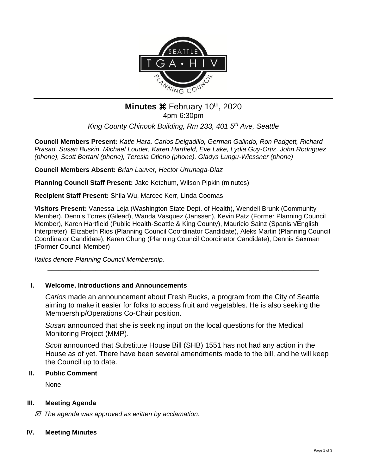

# **Minutes**  $\mathcal{H}$  **February 10<sup>th</sup>, 2020** 4pm-6:30pm

*King County Chinook Building, Rm 233, 401 5th Ave, Seattle*

**Council Members Present:** *Katie Hara, Carlos Delgadillo, German Galindo, Ron Padgett, Richard Prasad, Susan Buskin, Michael Louder, Karen Hartfield, Eve Lake, Lydia Guy-Ortiz, John Rodriguez (phone), Scott Bertani (phone), Teresia Otieno (phone), Gladys Lungu-Wiessner (phone)*

**Council Members Absent:** *Brian Lauver, Hector Urrunaga-Diaz*

**Planning Council Staff Present:** Jake Ketchum, Wilson Pipkin (minutes)

**Recipient Staff Present:** Shila Wu, Marcee Kerr, Linda Coomas

**Visitors Present:** Vanessa Leja (Washington State Dept. of Health), Wendell Brunk (Community Member), Dennis Torres (Gilead), Wanda Vasquez (Janssen), Kevin Patz (Former Planning Council Member), Karen Hartfield (Public Health-Seattle & King County), Mauricio Sainz (Spanish/English Interpreter), Elizabeth Rios (Planning Council Coordinator Candidate), Aleks Martin (Planning Council Coordinator Candidate), Karen Chung (Planning Council Coordinator Candidate), Dennis Saxman (Former Council Member)

*Italics denote Planning Council Membership.* 

# **I. Welcome, Introductions and Announcements**

*Carlos* made an announcement about Fresh Bucks, a program from the City of Seattle aiming to make it easier for folks to access fruit and vegetables. He is also seeking the Membership/Operations Co-Chair position.

\_\_\_\_\_\_\_\_\_\_\_\_\_\_\_\_\_\_\_\_\_\_\_\_\_\_\_\_\_\_\_\_\_\_\_\_\_\_\_\_\_\_\_\_\_\_\_\_\_\_\_\_\_\_\_\_\_\_\_\_\_\_\_\_\_\_\_\_\_\_\_\_\_\_

*Susan* announced that she is seeking input on the local questions for the Medical Monitoring Project (MMP).

*Scott* announced that Substitute House Bill (SHB) 1551 has not had any action in the House as of yet. There have been several amendments made to the bill, and he will keep the Council up to date.

# **II. Public Comment**

None

# **III. Meeting Agenda**

 *The agenda was approved as written by acclamation.*

# **IV. Meeting Minutes**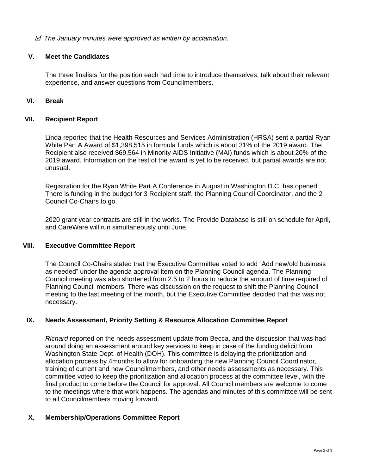#### *The January minutes were approved as written by acclamation.*

#### **V. Meet the Candidates**

The three finalists for the position each had time to introduce themselves, talk about their relevant experience, and answer questions from Councilmembers.

# **VI. Break**

#### **VII. Recipient Report**

Linda reported that the Health Resources and Services Administration (HRSA) sent a partial Ryan White Part A Award of \$1,398,515 in formula funds which is about 31% of the 2019 award. The Recipient also received \$69,564 in Minority AIDS Initiative (MAI) funds which is about 20% of the 2019 award. Information on the rest of the award is yet to be received, but partial awards are not unusual.

Registration for the Ryan White Part A Conference in August in Washington D.C. has opened. There is funding in the budget for 3 Recipient staff, the Planning Council Coordinator, and the 2 Council Co-Chairs to go.

2020 grant year contracts are still in the works. The Provide Database is still on schedule for April, and CareWare will run simultaneously until June.

#### **VIII. Executive Committee Report**

The Council Co-Chairs stated that the Executive Committee voted to add "Add new/old business as needed" under the agenda approval item on the Planning Council agenda. The Planning Council meeting was also shortened from 2.5 to 2 hours to reduce the amount of time required of Planning Council members. There was discussion on the request to shift the Planning Council meeting to the last meeting of the month, but the Executive Committee decided that this was not necessary.

# **IX. Needs Assessment, Priority Setting & Resource Allocation Committee Report**

*Richard* reported on the needs assessment update from Becca, and the discussion that was had around doing an assessment around key services to keep in case of the funding deficit from Washington State Dept. of Health (DOH). This committee is delaying the prioritization and allocation process by 4months to allow for onboarding the new Planning Council Coordinator, training of current and new Councilmembers, and other needs assessments as necessary. This committee voted to keep the prioritization and allocation process at the committee level, with the final product to come before the Council for approval. All Council members are welcome to come to the meetings where that work happens. The agendas and minutes of this committee will be sent to all Councilmembers moving forward.

#### **X. Membership/Operations Committee Report**